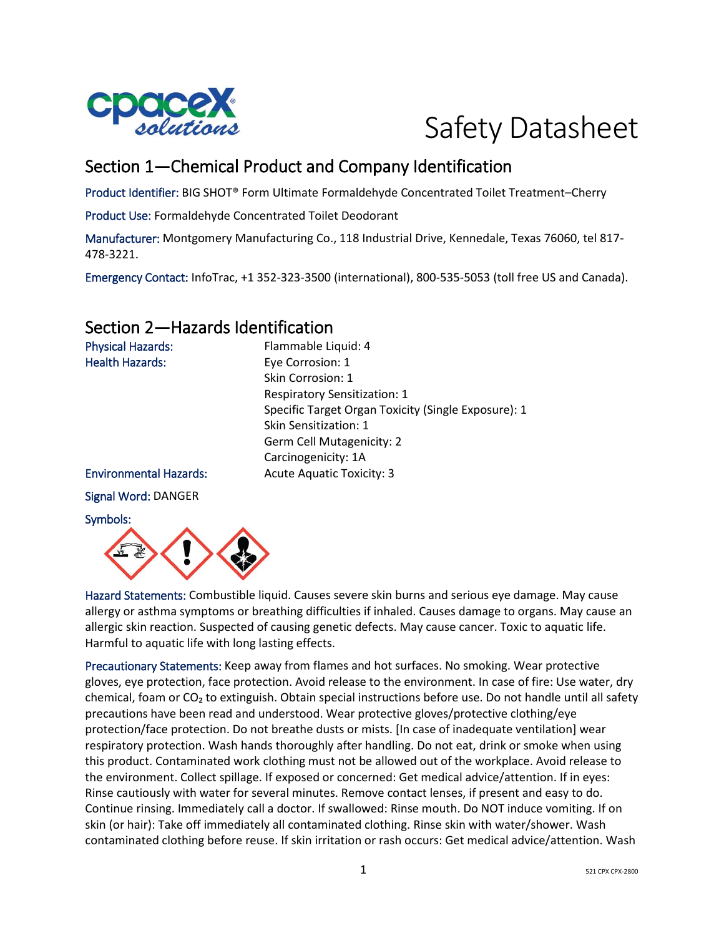

# Safety Datasheet

# Section 1—Chemical Product and Company Identification

Product Identifier: BIG SHOT® Form Ultimate Formaldehyde Concentrated Toilet Treatment–Cherry

Product Use: Formaldehyde Concentrated Toilet Deodorant

Manufacturer: Montgomery Manufacturing Co., 118 Industrial Drive, Kennedale, Texas 76060, tel 817- 478-3221.

Emergency Contact: InfoTrac, +1 352-323-3500 (international), 800-535-5053 (toll free US and Canada).

# Section 2—Hazards Identification

| <b>Physical Hazards:</b>      | Flammable Liquid: 4                                 |
|-------------------------------|-----------------------------------------------------|
| <b>Health Hazards:</b>        | Eye Corrosion: 1                                    |
|                               | Skin Corrosion: 1                                   |
|                               | <b>Respiratory Sensitization: 1</b>                 |
|                               | Specific Target Organ Toxicity (Single Exposure): 1 |
|                               | Skin Sensitization: 1                               |
|                               | Germ Cell Mutagenicity: 2                           |
|                               | Carcinogenicity: 1A                                 |
| <b>Environmental Hazards:</b> | <b>Acute Aquatic Toxicity: 3</b>                    |
| Signal Word: DANGER           |                                                     |
| Symbols:                      |                                                     |



Hazard Statements: Combustible liquid. Causes severe skin burns and serious eye damage. May cause allergy or asthma symptoms or breathing difficulties if inhaled. Causes damage to organs. May cause an allergic skin reaction. Suspected of causing genetic defects. May cause cancer. Toxic to aquatic life. Harmful to aquatic life with long lasting effects.

Precautionary Statements: Keep away from flames and hot surfaces. No smoking. Wear protective gloves, eye protection, face protection. Avoid release to the environment. In case of fire: Use water, dry chemical, foam or  $CO<sub>2</sub>$  to extinguish. Obtain special instructions before use. Do not handle until all safety precautions have been read and understood. Wear protective gloves/protective clothing/eye protection/face protection. Do not breathe dusts or mists. [In case of inadequate ventilation] wear respiratory protection. Wash hands thoroughly after handling. Do not eat, drink or smoke when using this product. Contaminated work clothing must not be allowed out of the workplace. Avoid release to the environment. Collect spillage. If exposed or concerned: Get medical advice/attention. If in eyes: Rinse cautiously with water for several minutes. Remove contact lenses, if present and easy to do. Continue rinsing. Immediately call a doctor. If swallowed: Rinse mouth. Do NOT induce vomiting. If on skin (or hair): Take off immediately all contaminated clothing. Rinse skin with water/shower. Wash contaminated clothing before reuse. If skin irritation or rash occurs: Get medical advice/attention. Wash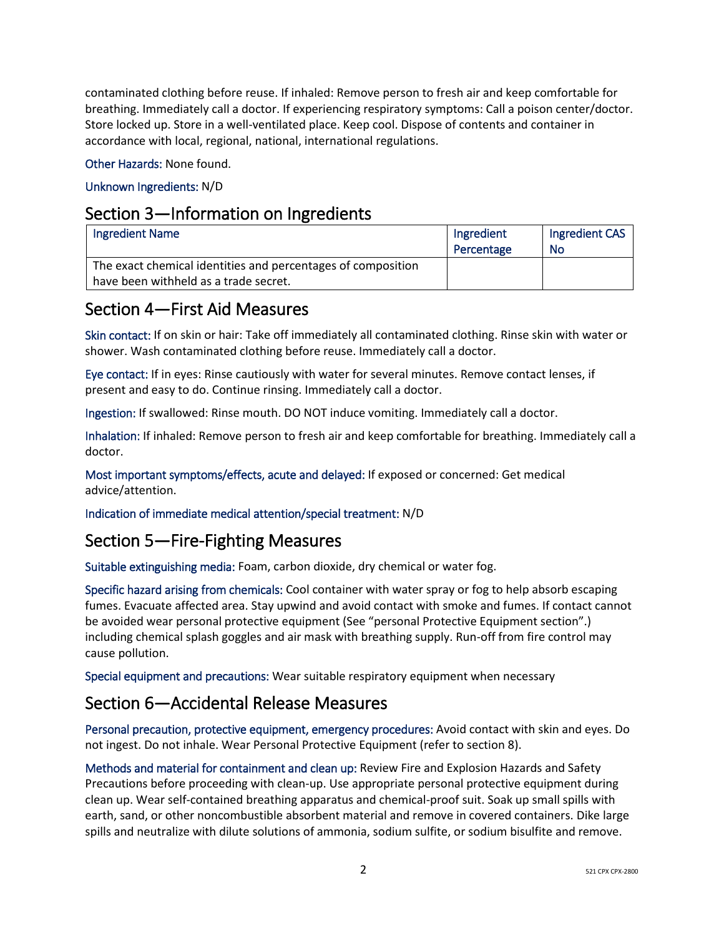contaminated clothing before reuse. If inhaled: Remove person to fresh air and keep comfortable for breathing. Immediately call a doctor. If experiencing respiratory symptoms: Call a poison center/doctor. Store locked up. Store in a well-ventilated place. Keep cool. Dispose of contents and container in accordance with local, regional, national, international regulations.

Other Hazards: None found.

## Unknown Ingredients: N/D

## Section 3—Information on Ingredients

| <b>Ingredient Name</b>                                                                                | Ingredient<br>Percentage | Ingredient CAS<br><b>No</b> |
|-------------------------------------------------------------------------------------------------------|--------------------------|-----------------------------|
| The exact chemical identities and percentages of composition<br>have been withheld as a trade secret. |                          |                             |

# Section 4—First Aid Measures

Skin contact: If on skin or hair: Take off immediately all contaminated clothing. Rinse skin with water or shower. Wash contaminated clothing before reuse. Immediately call a doctor.

Eye contact: If in eyes: Rinse cautiously with water for several minutes. Remove contact lenses, if present and easy to do. Continue rinsing. Immediately call a doctor.

Ingestion: If swallowed: Rinse mouth. DO NOT induce vomiting. Immediately call a doctor.

Inhalation: If inhaled: Remove person to fresh air and keep comfortable for breathing. Immediately call a doctor.

Most important symptoms/effects, acute and delayed: If exposed or concerned: Get medical advice/attention.

Indication of immediate medical attention/special treatment: N/D

# Section 5—Fire-Fighting Measures

Suitable extinguishing media: Foam, carbon dioxide, dry chemical or water fog.

Specific hazard arising from chemicals: Cool container with water spray or fog to help absorb escaping fumes. Evacuate affected area. Stay upwind and avoid contact with smoke and fumes. If contact cannot be avoided wear personal protective equipment (See "personal Protective Equipment section".) including chemical splash goggles and air mask with breathing supply. Run-off from fire control may cause pollution.

Special equipment and precautions: Wear suitable respiratory equipment when necessary

# Section 6—Accidental Release Measures

Personal precaution, protective equipment, emergency procedures: Avoid contact with skin and eyes. Do not ingest. Do not inhale. Wear Personal Protective Equipment (refer to section 8).

Methods and material for containment and clean up: Review Fire and Explosion Hazards and Safety Precautions before proceeding with clean-up. Use appropriate personal protective equipment during clean up. Wear self-contained breathing apparatus and chemical-proof suit. Soak up small spills with earth, sand, or other noncombustible absorbent material and remove in covered containers. Dike large spills and neutralize with dilute solutions of ammonia, sodium sulfite, or sodium bisulfite and remove.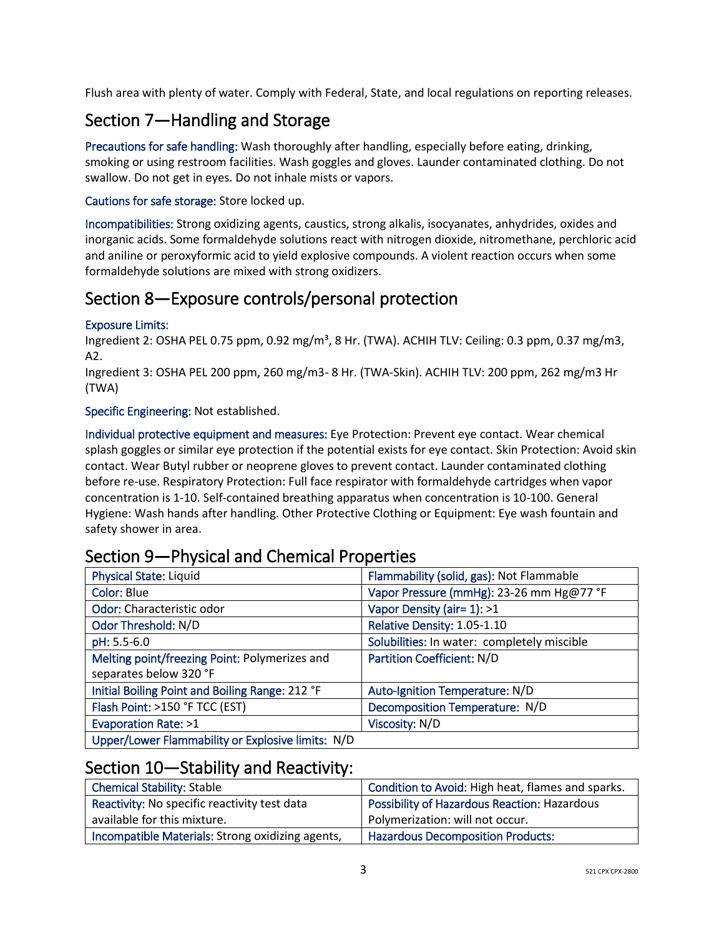Flush area with plenty of water. Comply with Federal, State, and local regulations on reporting releases.

# Section 7—Handling and Storage

Precautions for safe handling: Wash thoroughly after handling, especially before eating, drinking, smoking or using restroom facilities. Wash goggles and gloves. Launder contaminated clothing. Do not swallow. Do not get in eyes. Do not inhale mists or vapors.

## Cautions for safe storage: Store locked up.

Incompatibilities: Strong oxidizing agents, caustics, strong alkalis, isocyanates, anhydrides, oxides and inorganic acids. Some formaldehyde solutions react with nitrogen dioxide, nitromethane, perchloric acid and aniline or peroxyformic acid to yield explosive compounds. A violent reaction occurs when some formaldehyde solutions are mixed with strong oxidizers.

# Section 8—Exposure controls/personal protection

#### Exposure Limits:

Ingredient 2: OSHA PEL 0.75 ppm, 0.92 mg/m<sup>3</sup>, 8 Hr. (TWA). ACHIH TLV: Ceiling: 0.3 ppm, 0.37 mg/m3, A2.

Ingredient 3: OSHA PEL 200 ppm, 260 mg/m3- 8 Hr. (TWA-Skin). ACHIH TLV: 200 ppm, 262 mg/m3 Hr (TWA)

Specific Engineering: Not established.

Individual protective equipment and measures: Eye Protection: Prevent eye contact. Wear chemical splash goggles or similar eye protection if the potential exists for eye contact. Skin Protection: Avoid skin contact. Wear Butyl rubber or neoprene gloves to prevent contact. Launder contaminated clothing before re-use. Respiratory Protection: Full face respirator with formaldehyde cartridges when vapor concentration is 1-10. Self-contained breathing apparatus when concentration is 10-100. General Hygiene: Wash hands after handling. Other Protective Clothing or Equipment: Eye wash fountain and safety shower in area.

| <b>Physical State: Liquid</b>                     | Flammability (solid, gas): Not Flammable    |
|---------------------------------------------------|---------------------------------------------|
| Color: Blue                                       | Vapor Pressure (mmHg): 23-26 mm Hg@77 °F    |
| Odor: Characteristic odor                         | Vapor Density (air= 1): >1                  |
| Odor Threshold: N/D                               | Relative Density: 1.05-1.10                 |
| pH: 5.5-6.0                                       | Solubilities: In water: completely miscible |
| Melting point/freezing Point: Polymerizes and     | <b>Partition Coefficient: N/D</b>           |
| separates below 320 °F                            |                                             |
| Initial Boiling Point and Boiling Range: 212 °F   | Auto-Ignition Temperature: N/D              |
| Flash Point: >150 °F TCC (EST)                    | Decomposition Temperature: N/D              |
| Evaporation Rate: >1                              | Viscosity: N/D                              |
| Upper/Lower Flammability or Explosive limits: N/D |                                             |

# Section 9—Physical and Chemical Properties

## Section 10—Stability and Reactivity:

| <b>Chemical Stability: Stable</b>                | Condition to Avoid: High heat, flames and sparks.   |
|--------------------------------------------------|-----------------------------------------------------|
| Reactivity: No specific reactivity test data     | <b>Possibility of Hazardous Reaction: Hazardous</b> |
| available for this mixture.                      | Polymerization: will not occur.                     |
| Incompatible Materials: Strong oxidizing agents, | <b>Hazardous Decomposition Products:</b>            |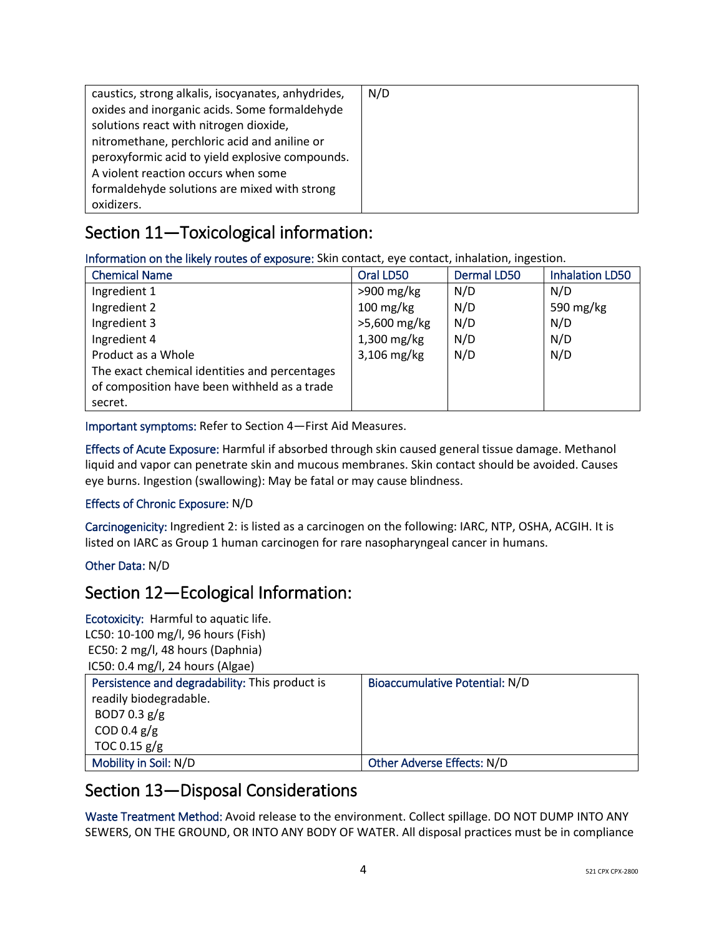| caustics, strong alkalis, isocyanates, anhydrides, | N/D |
|----------------------------------------------------|-----|
| oxides and inorganic acids. Some formaldehyde      |     |
| solutions react with nitrogen dioxide,             |     |
| nitromethane, perchloric acid and aniline or       |     |
| peroxyformic acid to yield explosive compounds.    |     |
| A violent reaction occurs when some                |     |
| formaldehyde solutions are mixed with strong       |     |
| oxidizers.                                         |     |

# Section 11—Toxicological information:

Information on the likely routes of exposure: Skin contact, eye contact, inhalation, ingestion.

| <b>Chemical Name</b>                          | Oral LD50     | <b>Dermal LD50</b> | <b>Inhalation LD50</b> |
|-----------------------------------------------|---------------|--------------------|------------------------|
| Ingredient 1                                  | $>900$ mg/kg  | N/D                | N/D                    |
| Ingredient 2                                  | $100$ mg/kg   | N/D                | 590 mg/kg              |
| Ingredient 3                                  | >5,600 mg/kg  | N/D                | N/D                    |
| Ingredient 4                                  | $1,300$ mg/kg | N/D                | N/D                    |
| Product as a Whole                            | 3,106 mg/kg   | N/D                | N/D                    |
| The exact chemical identities and percentages |               |                    |                        |
| of composition have been withheld as a trade  |               |                    |                        |
| secret.                                       |               |                    |                        |

Important symptoms: Refer to Section 4—First Aid Measures.

Effects of Acute Exposure: Harmful if absorbed through skin caused general tissue damage. Methanol liquid and vapor can penetrate skin and mucous membranes. Skin contact should be avoided. Causes eye burns. Ingestion (swallowing): May be fatal or may cause blindness.

## Effects of Chronic Exposure: N/D

Carcinogenicity: Ingredient 2: is listed as a carcinogen on the following: IARC, NTP, OSHA, ACGIH. It is listed on IARC as Group 1 human carcinogen for rare nasopharyngeal cancer in humans.

## Other Data: N/D

## Section 12—Ecological Information:

Ecotoxicity: Harmful to aquatic life. LC50: 10-100 mg/l, 96 hours (Fish) EC50: 2 mg/l, 48 hours (Daphnia) IC50: 0.4 mg/l, 24 hours (Algae)

| Persistence and degradability: This product is | Bioaccumulative Potential: N/D |
|------------------------------------------------|--------------------------------|
| readily biodegradable.                         |                                |
| BOD7 0.3 $g/g$                                 |                                |
| COD 0.4 $g/g$                                  |                                |
| TOC 0.15 $g/g$                                 |                                |
| Mobility in Soil: N/D                          | Other Adverse Effects: N/D     |

## Section 13—Disposal Considerations

Waste Treatment Method: Avoid release to the environment. Collect spillage. DO NOT DUMP INTO ANY SEWERS, ON THE GROUND, OR INTO ANY BODY OF WATER. All disposal practices must be in compliance